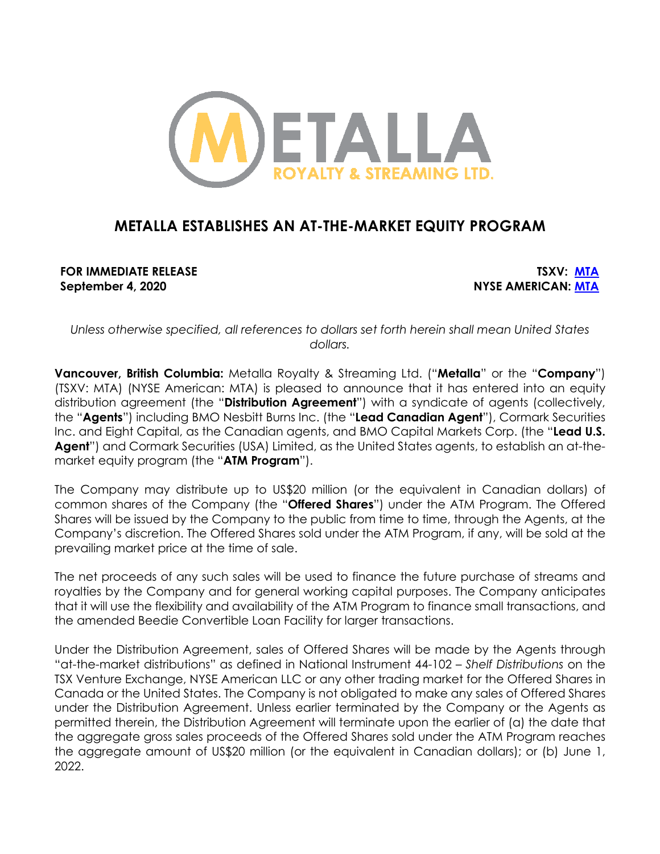

# **METALLA ESTABLISHES AN AT-THE-MARKET EQUITY PROGRAM**

**FOR IMMEDIATE RELEASE TSXV: MTA September 4, 2020 NYSE AMERICAN: MTA**

*Unless otherwise specified, all references to dollars set forth herein shall mean United States dollars.*

**Vancouver, British Columbia:** Metalla Royalty & Streaming Ltd. ("**Metalla**" or the "**Company**") (TSXV: MTA) (NYSE American: MTA) is pleased to announce that it has entered into an equity distribution agreement (the "**Distribution Agreement**") with a syndicate of agents (collectively, the "**Agents**") including BMO Nesbitt Burns Inc. (the "**Lead Canadian Agent**"), Cormark Securities Inc. and Eight Capital, as the Canadian agents, and BMO Capital Markets Corp. (the "**Lead U.S.**  Agent") and Cormark Securities (USA) Limited, as the United States agents, to establish an at-themarket equity program (the "**ATM Program**").

The Company may distribute up to US\$20 million (or the equivalent in Canadian dollars) of common shares of the Company (the "**Offered Shares**") under the ATM Program. The Offered Shares will be issued by the Company to the public from time to time, through the Agents, at the Company's discretion. The Offered Shares sold under the ATM Program, if any, will be sold at the prevailing market price at the time of sale.

The net proceeds of any such sales will be used to finance the future purchase of streams and royalties by the Company and for general working capital purposes. The Company anticipates that it will use the flexibility and availability of the ATM Program to finance small transactions, and the amended Beedie Convertible Loan Facility for larger transactions.

Under the Distribution Agreement, sales of Offered Shares will be made by the Agents through "at-the-market distributions" as defined in National Instrument 44-102 – *Shelf Distributions* on the TSX Venture Exchange, NYSE American LLC or any other trading market for the Offered Shares in Canada or the United States. The Company is not obligated to make any sales of Offered Shares under the Distribution Agreement. Unless earlier terminated by the Company or the Agents as permitted therein, the Distribution Agreement will terminate upon the earlier of (a) the date that the aggregate gross sales proceeds of the Offered Shares sold under the ATM Program reaches the aggregate amount of US\$20 million (or the equivalent in Canadian dollars); or (b) June 1, 2022.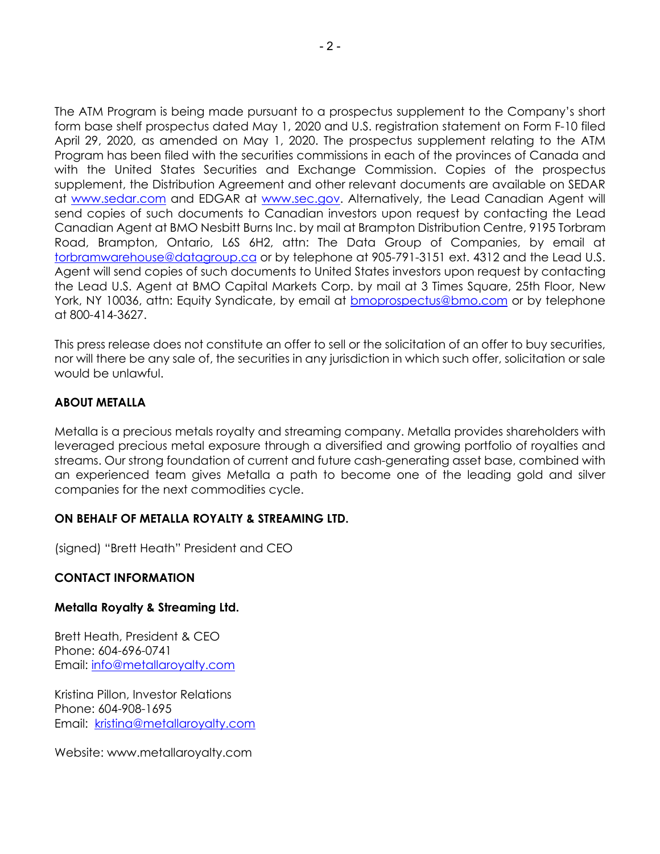The ATM Program is being made pursuant to a prospectus supplement to the Company's short form base shelf prospectus dated May 1, 2020 and U.S. registration statement on Form F-10 filed April 29, 2020, as amended on May 1, 2020. The prospectus supplement relating to the ATM Program has been filed with the securities commissions in each of the provinces of Canada and with the United States Securities and Exchange Commission. Copies of the prospectus supplement, the Distribution Agreement and other relevant documents are available on SEDAR at www.sedar.com and EDGAR at www.sec.gov. Alternatively, the Lead Canadian Agent will send copies of such documents to Canadian investors upon request by contacting the Lead Canadian Agent at BMO Nesbitt Burns Inc. by mail at Brampton Distribution Centre, 9195 Torbram Road, Brampton, Ontario, L6S 6H2, attn: The Data Group of Companies, by email at torbramwarehouse@datagroup.ca or by telephone at 905-791-3151 ext. 4312 and the Lead U.S. Agent will send copies of such documents to United States investors upon request by contacting the Lead U.S. Agent at BMO Capital Markets Corp. by mail at 3 Times Square, 25th Floor, New York, NY 10036, attn: Equity Syndicate, by email at bmoprospectus@bmo.com or by telephone at 800-414-3627.

This press release does not constitute an offer to sell or the solicitation of an offer to buy securities, nor will there be any sale of, the securities in any jurisdiction in which such offer, solicitation or sale would be unlawful.

## **ABOUT METALLA**

Metalla is a precious metals royalty and streaming company. Metalla provides shareholders with leveraged precious metal exposure through a diversified and growing portfolio of royalties and streams. Our strong foundation of current and future cash-generating asset base, combined with an experienced team gives Metalla a path to become one of the leading gold and silver companies for the next commodities cycle.

## **ON BEHALF OF METALLA ROYALTY & STREAMING LTD.**

(signed) "Brett Heath" President and CEO

## **CONTACT INFORMATION**

## **Metalla Royalty & Streaming Ltd.**

Brett Heath, President & CEO Phone: 604-696-0741 Email: info@metallaroyalty.com

Kristina Pillon, Investor Relations Phone: 604-908-1695 Email: kristina@metallaroyalty.com

Website: www.metallaroyalty.com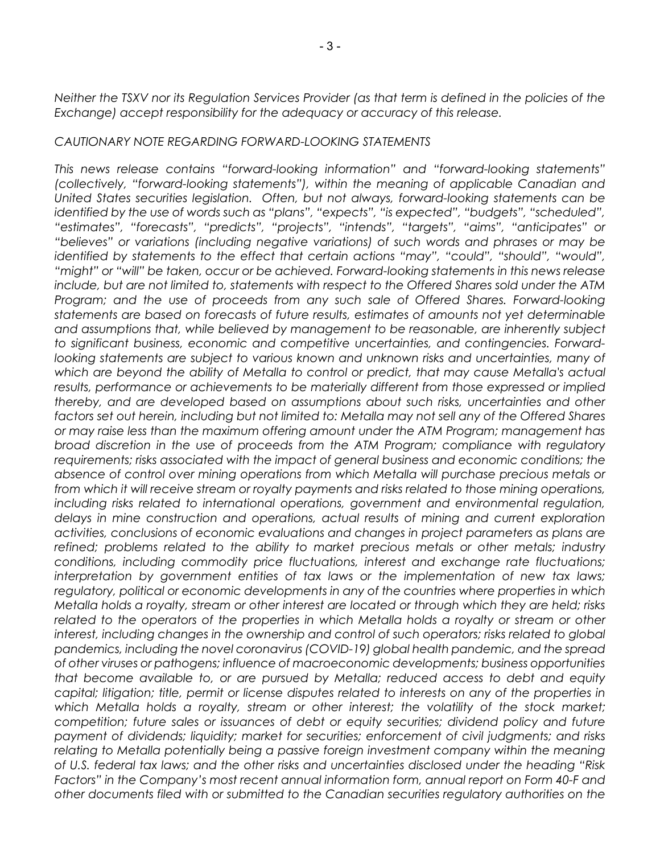*Neither the TSXV nor its Regulation Services Provider (as that term is defined in the policies of the Exchange) accept responsibility for the adequacy or accuracy of this release.* 

#### *CAUTIONARY NOTE REGARDING FORWARD-LOOKING STATEMENTS*

*This news release contains "forward-looking information" and "forward-looking statements" (collectively, "forward-looking statements"), within the meaning of applicable Canadian and United States securities legislation. Often, but not always, forward-looking statements can be identified by the use of words such as "plans", "expects", "is expected", "budgets", "scheduled", "estimates", "forecasts", "predicts", "projects", "intends", "targets", "aims", "anticipates" or "believes" or variations (including negative variations) of such words and phrases or may be identified by statements to the effect that certain actions "may", "could", "should", "would", "might" or "will" be taken, occur or be achieved. Forward-looking statements in this news release include, but are not limited to, statements with respect to the Offered Shares sold under the ATM Program; and the use of proceeds from any such sale of Offered Shares. Forward-looking statements are based on forecasts of future results, estimates of amounts not yet determinable and assumptions that, while believed by management to be reasonable, are inherently subject to significant business, economic and competitive uncertainties, and contingencies. Forward*looking statements are subject to various known and unknown risks and uncertainties, many of *which are beyond the ability of Metalla to control or predict, that may cause Metalla's actual results, performance or achievements to be materially different from those expressed or implied thereby, and are developed based on assumptions about such risks, uncertainties and other factors set out herein, including but not limited to: Metalla may not sell any of the Offered Shares or may raise less than the maximum offering amount under the ATM Program; management has broad discretion in the use of proceeds from the ATM Program; compliance with regulatory requirements; risks associated with the impact of general business and economic conditions; the absence of control over mining operations from which Metalla will purchase precious metals or from which it will receive stream or royalty payments and risks related to those mining operations, including risks related to international operations, government and environmental regulation, delays in mine construction and operations, actual results of mining and current exploration activities, conclusions of economic evaluations and changes in project parameters as plans are refined; problems related to the ability to market precious metals or other metals; industry conditions, including commodity price fluctuations, interest and exchange rate fluctuations; interpretation by government entities of tax laws or the implementation of new tax laws; regulatory, political or economic developments in any of the countries where properties in which Metalla holds a royalty, stream or other interest are located or through which they are held; risks related to the operators of the properties in which Metalla holds a royalty or stream or other interest, including changes in the ownership and control of such operators; risks related to global pandemics, including the novel coronavirus (COVID-19) global health pandemic, and the spread of other viruses or pathogens; influence of macroeconomic developments; business opportunities that become available to, or are pursued by Metalla; reduced access to debt and equity capital; litigation; title, permit or license disputes related to interests on any of the properties in which Metalla holds a royalty, stream or other interest; the volatility of the stock market; competition; future sales or issuances of debt or equity securities; dividend policy and future payment of dividends; liquidity; market for securities; enforcement of civil judgments; and risks*  relating to Metalla potentially being a passive foreign investment company within the meaning *of U.S. federal tax laws; and the other risks and uncertainties disclosed under the heading "Risk Factors" in the Company's most recent annual information form, annual report on Form 40-F and other documents filed with or submitted to the Canadian securities regulatory authorities on the*